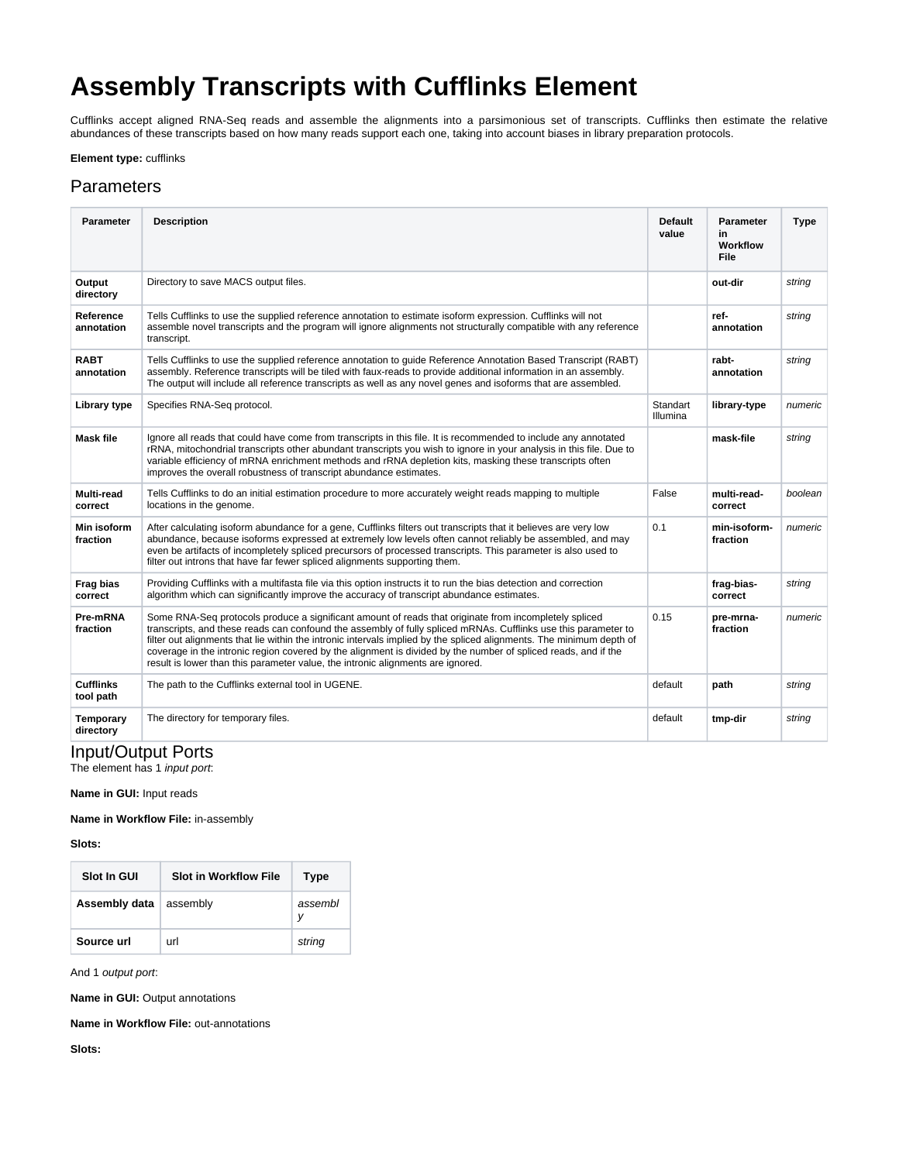# **Assembly Transcripts with Cufflinks Element**

Cufflinks accept aligned RNA-Seq reads and assemble the alignments into a parsimonious set of transcripts. Cufflinks then estimate the relative abundances of these transcripts based on how many reads support each one, taking into account biases in library preparation protocols.

## **Element type:** cufflinks

## **Parameters**

| <b>Parameter</b>              | <b>Description</b>                                                                                                                                                                                                                                                                                                                                                                                                                                                                                                                                   | <b>Default</b><br>value | <b>Parameter</b><br>in<br>Workflow<br>File | <b>Type</b> |
|-------------------------------|------------------------------------------------------------------------------------------------------------------------------------------------------------------------------------------------------------------------------------------------------------------------------------------------------------------------------------------------------------------------------------------------------------------------------------------------------------------------------------------------------------------------------------------------------|-------------------------|--------------------------------------------|-------------|
| Output<br>directory           | Directory to save MACS output files.                                                                                                                                                                                                                                                                                                                                                                                                                                                                                                                 |                         | out-dir                                    | string      |
| Reference<br>annotation       | Tells Cufflinks to use the supplied reference annotation to estimate isoform expression. Cufflinks will not<br>assemble novel transcripts and the program will ignore alignments not structurally compatible with any reference<br>transcript.                                                                                                                                                                                                                                                                                                       |                         | ref-<br>annotation                         | string      |
| <b>RABT</b><br>annotation     | Tells Cufflinks to use the supplied reference annotation to guide Reference Annotation Based Transcript (RABT)<br>assembly. Reference transcripts will be tiled with faux-reads to provide additional information in an assembly.<br>The output will include all reference transcripts as well as any novel genes and isoforms that are assembled.                                                                                                                                                                                                   |                         | rabt-<br>annotation                        | string      |
| Library type                  | Specifies RNA-Seq protocol.                                                                                                                                                                                                                                                                                                                                                                                                                                                                                                                          | Standart<br>Illumina    | library-type                               | numeric     |
| <b>Mask file</b>              | Ignore all reads that could have come from transcripts in this file. It is recommended to include any annotated<br>rRNA, mitochondrial transcripts other abundant transcripts you wish to ignore in your analysis in this file. Due to<br>variable efficiency of mRNA enrichment methods and rRNA depletion kits, masking these transcripts often<br>improves the overall robustness of transcript abundance estimates.                                                                                                                              |                         | mask-file                                  | string      |
| <b>Multi-read</b><br>correct  | Tells Cufflinks to do an initial estimation procedure to more accurately weight reads mapping to multiple<br>locations in the genome.                                                                                                                                                                                                                                                                                                                                                                                                                | False                   | multi-read-<br>correct                     | boolean     |
| Min isoform<br>fraction       | After calculating isoform abundance for a gene, Cufflinks filters out transcripts that it believes are very low<br>abundance, because isoforms expressed at extremely low levels often cannot reliably be assembled, and may<br>even be artifacts of incompletely spliced precursors of processed transcripts. This parameter is also used to<br>filter out introns that have far fewer spliced alignments supporting them.                                                                                                                          | 0.1                     | min-isoform-<br>fraction                   | numeric     |
| Frag bias<br>correct          | Providing Cufflinks with a multifasta file via this option instructs it to run the bias detection and correction<br>algorithm which can significantly improve the accuracy of transcript abundance estimates.                                                                                                                                                                                                                                                                                                                                        |                         | frag-bias-<br>correct                      | string      |
| Pre-mRNA<br>fraction          | Some RNA-Seq protocols produce a significant amount of reads that originate from incompletely spliced<br>transcripts, and these reads can confound the assembly of fully spliced mRNAs. Cufflinks use this parameter to<br>filter out alignments that lie within the intronic intervals implied by the spliced alignments. The minimum depth of<br>coverage in the intronic region covered by the alignment is divided by the number of spliced reads, and if the<br>result is lower than this parameter value, the intronic alignments are ignored. | 0.15                    | pre-mrna-<br>fraction                      | numeric     |
| <b>Cufflinks</b><br>tool path | The path to the Cufflinks external tool in UGENE.                                                                                                                                                                                                                                                                                                                                                                                                                                                                                                    | default                 | path                                       | string      |
| Temporary<br>directory        | The directory for temporary files.                                                                                                                                                                                                                                                                                                                                                                                                                                                                                                                   | default                 | tmp-dir                                    | string      |

## Input/Output Ports

The element has 1 *input port*:

### **Name in GUI:** Input reads

**Name in Workflow File:** in-assembly

#### **Slots:**

| <b>Slot In GUI</b> | <b>Slot in Workflow File</b> | <b>Type</b>  |
|--------------------|------------------------------|--------------|
| Assembly data      | assembly                     | assembl<br>ν |
| Source url         | url                          | string       |

And 1 output port:

**Name in GUI:** Output annotations

**Name in Workflow File:** out-annotations

**Slots:**